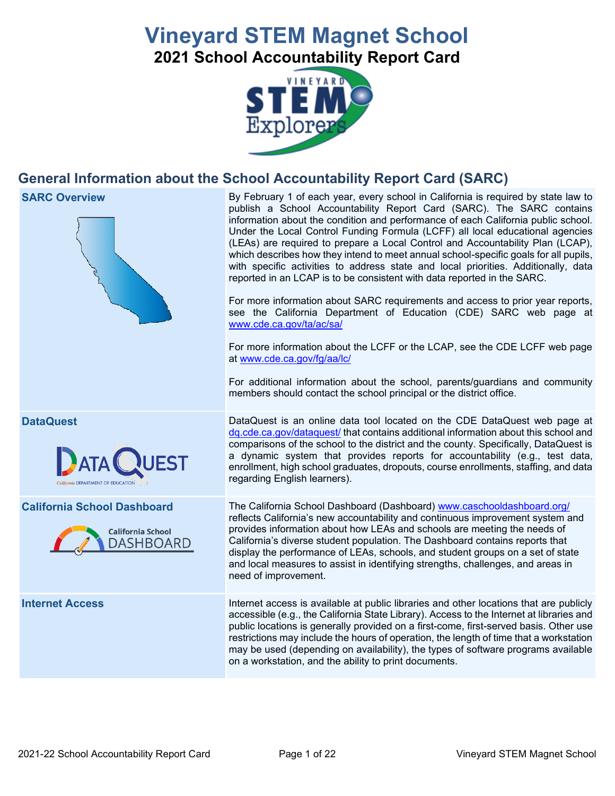# **Vineyard STEM Magnet School 2021 School Accountability Report Card**



## **General Information about the School Accountability Report Card (SARC)**



on a workstation, and the ability to print documents.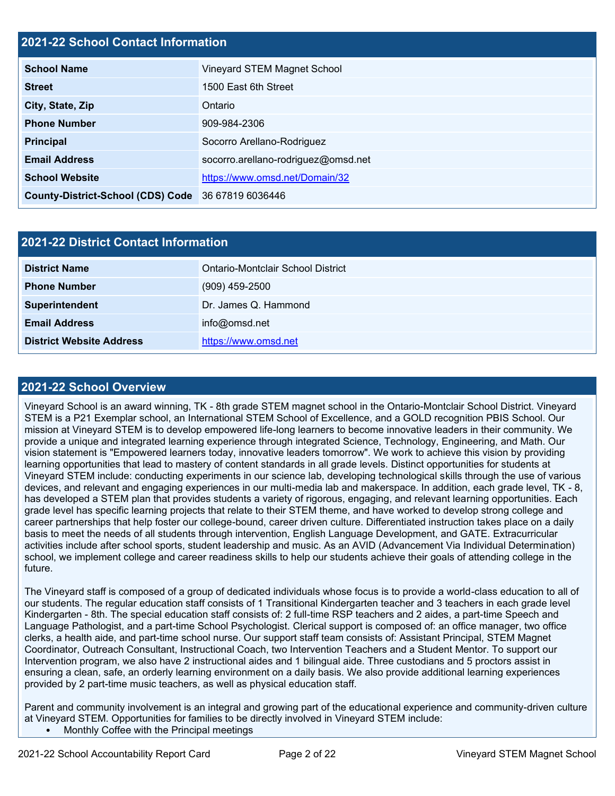### **2021-22 School Contact Information**

| <b>School Name</b>                                 | Vineyard STEM Magnet School         |  |  |  |
|----------------------------------------------------|-------------------------------------|--|--|--|
| <b>Street</b>                                      | 1500 East 6th Street                |  |  |  |
| City, State, Zip                                   | Ontario                             |  |  |  |
| <b>Phone Number</b>                                | 909-984-2306                        |  |  |  |
| <b>Principal</b>                                   | Socorro Arellano-Rodriguez          |  |  |  |
| <b>Email Address</b>                               | socorro.arellano-rodriguez@omsd.net |  |  |  |
| <b>School Website</b>                              | https://www.omsd.net/Domain/32      |  |  |  |
| County-District-School (CDS) Code 36 67819 6036446 |                                     |  |  |  |

| 2021-22 District Contact Information |                                   |  |  |  |
|--------------------------------------|-----------------------------------|--|--|--|
| <b>District Name</b>                 | Ontario-Montclair School District |  |  |  |
| <b>Phone Number</b>                  | $(909)$ 459-2500                  |  |  |  |
| Superintendent                       | Dr. James Q. Hammond              |  |  |  |
| <b>Email Address</b>                 | info@omsd.net                     |  |  |  |
| <b>District Website Address</b>      | https://www.omsd.net              |  |  |  |

### **2021-22 School Overview**

Vineyard School is an award winning, TK - 8th grade STEM magnet school in the Ontario-Montclair School District. Vineyard STEM is a P21 Exemplar school, an International STEM School of Excellence, and a GOLD recognition PBIS School. Our mission at Vineyard STEM is to develop empowered life-long learners to become innovative leaders in their community. We provide a unique and integrated learning experience through integrated Science, Technology, Engineering, and Math. Our vision statement is "Empowered learners today, innovative leaders tomorrow". We work to achieve this vision by providing learning opportunities that lead to mastery of content standards in all grade levels. Distinct opportunities for students at Vineyard STEM include: conducting experiments in our science lab, developing technological skills through the use of various devices, and relevant and engaging experiences in our multi-media lab and makerspace. In addition, each grade level, TK - 8, has developed a STEM plan that provides students a variety of rigorous, engaging, and relevant learning opportunities. Each grade level has specific learning projects that relate to their STEM theme, and have worked to develop strong college and career partnerships that help foster our college-bound, career driven culture. Differentiated instruction takes place on a daily basis to meet the needs of all students through intervention, English Language Development, and GATE. Extracurricular activities include after school sports, student leadership and music. As an AVID (Advancement Via Individual Determination) school, we implement college and career readiness skills to help our students achieve their goals of attending college in the future.

The Vineyard staff is composed of a group of dedicated individuals whose focus is to provide a world-class education to all of our students. The regular education staff consists of 1 Transitional Kindergarten teacher and 3 teachers in each grade level Kindergarten - 8th. The special education staff consists of: 2 full-time RSP teachers and 2 aides, a part-time Speech and Language Pathologist, and a part-time School Psychologist. Clerical support is composed of: an office manager, two office clerks, a health aide, and part-time school nurse. Our support staff team consists of: Assistant Principal, STEM Magnet Coordinator, Outreach Consultant, Instructional Coach, two Intervention Teachers and a Student Mentor. To support our Intervention program, we also have 2 instructional aides and 1 bilingual aide. Three custodians and 5 proctors assist in ensuring a clean, safe, an orderly learning environment on a daily basis. We also provide additional learning experiences provided by 2 part-time music teachers, as well as physical education staff.

Parent and community involvement is an integral and growing part of the educational experience and community-driven culture at Vineyard STEM. Opportunities for families to be directly involved in Vineyard STEM include: • Monthly Coffee with the Principal meetings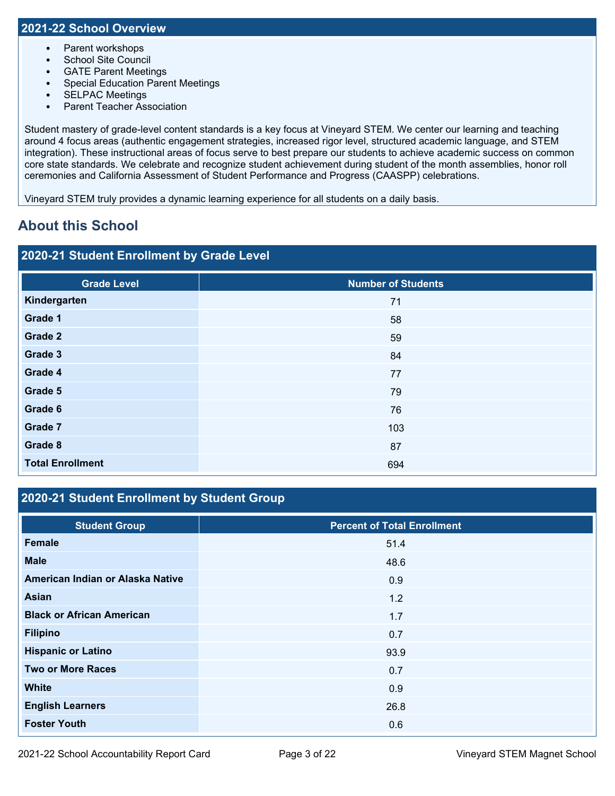- Parent workshops
- School Site Council
- GATE Parent Meetings
- Special Education Parent Meetings
- SELPAC Meetings
- Parent Teacher Association

Student mastery of grade-level content standards is a key focus at Vineyard STEM. We center our learning and teaching around 4 focus areas (authentic engagement strategies, increased rigor level, structured academic language, and STEM integration). These instructional areas of focus serve to best prepare our students to achieve academic success on common core state standards. We celebrate and recognize student achievement during student of the month assemblies, honor roll ceremonies and California Assessment of Student Performance and Progress (CAASPP) celebrations.

Vineyard STEM truly provides a dynamic learning experience for all students on a daily basis.

## **About this School**

### **2020-21 Student Enrollment by Grade Level**

| <b>Number of Students</b> |
|---------------------------|
| 71                        |
| 58                        |
| 59                        |
| 84                        |
| 77                        |
| 79                        |
| 76                        |
| 103                       |
| 87                        |
| 694                       |
|                           |

### **2020-21 Student Enrollment by Student Group**

| <b>Student Group</b>             | <b>Percent of Total Enrollment</b> |
|----------------------------------|------------------------------------|
| <b>Female</b>                    | 51.4                               |
| <b>Male</b>                      | 48.6                               |
| American Indian or Alaska Native | 0.9                                |
| Asian                            | 1.2                                |
| <b>Black or African American</b> | 1.7                                |
| <b>Filipino</b>                  | 0.7                                |
| <b>Hispanic or Latino</b>        | 93.9                               |
| <b>Two or More Races</b>         | 0.7                                |
| <b>White</b>                     | 0.9                                |
| <b>English Learners</b>          | 26.8                               |
| <b>Foster Youth</b>              | 0.6                                |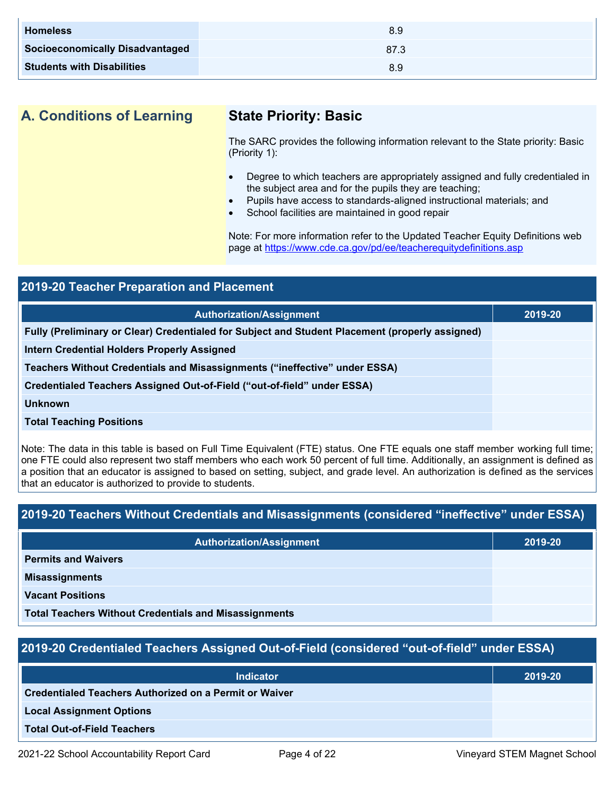| <b>Homeless</b>                        | 8.9  |
|----------------------------------------|------|
| <b>Socioeconomically Disadvantaged</b> | 87.3 |
| <b>Students with Disabilities</b>      | 8.9  |

## **A. Conditions of Learning State Priority: Basic**

The SARC provides the following information relevant to the State priority: Basic (Priority 1):

- Degree to which teachers are appropriately assigned and fully credentialed in the subject area and for the pupils they are teaching;
- Pupils have access to standards-aligned instructional materials; and
- School facilities are maintained in good repair

Note: For more information refer to the Updated Teacher Equity Definitions web page at<https://www.cde.ca.gov/pd/ee/teacherequitydefinitions.asp>

| <b>2019-20 Teacher Preparation and Placement</b>                                                |         |  |  |
|-------------------------------------------------------------------------------------------------|---------|--|--|
| <b>Authorization/Assignment</b>                                                                 | 2019-20 |  |  |
| Fully (Preliminary or Clear) Credentialed for Subject and Student Placement (properly assigned) |         |  |  |
| <b>Intern Credential Holders Properly Assigned</b>                                              |         |  |  |
| Teachers Without Credentials and Misassignments ("ineffective" under ESSA)                      |         |  |  |
| Credentialed Teachers Assigned Out-of-Field ("out-of-field" under ESSA)                         |         |  |  |
| <b>Unknown</b>                                                                                  |         |  |  |
| <b>Total Teaching Positions</b>                                                                 |         |  |  |

Note: The data in this table is based on Full Time Equivalent (FTE) status. One FTE equals one staff member working full time; one FTE could also represent two staff members who each work 50 percent of full time. Additionally, an assignment is defined as a position that an educator is assigned to based on setting, subject, and grade level. An authorization is defined as the services that an educator is authorized to provide to students.

### **2019-20 Teachers Without Credentials and Misassignments (considered "ineffective" under ESSA)**

| <b>Authorization/Assignment</b>                              | 2019-20 |
|--------------------------------------------------------------|---------|
| <b>Permits and Waivers</b>                                   |         |
| <b>Misassignments</b>                                        |         |
| <b>Vacant Positions</b>                                      |         |
| <b>Total Teachers Without Credentials and Misassignments</b> |         |

### **2019-20 Credentialed Teachers Assigned Out-of-Field (considered "out-of-field" under ESSA)**

| <b>Indicator</b>                                              | 2019-20 |
|---------------------------------------------------------------|---------|
| <b>Credentialed Teachers Authorized on a Permit or Waiver</b> |         |
| <b>Local Assignment Options</b>                               |         |
| <b>Total Out-of-Field Teachers</b>                            |         |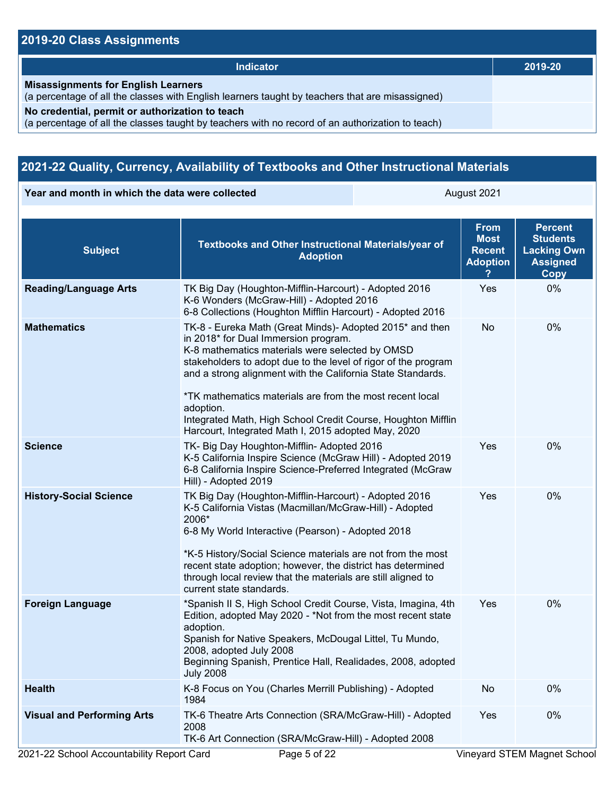### **2019-20 Class Assignments**

| <b>Indicator</b>                                                                                                                                    | 2019-20 |
|-----------------------------------------------------------------------------------------------------------------------------------------------------|---------|
| <b>Misassignments for English Learners</b><br>(a percentage of all the classes with English learners taught by teachers that are misassigned)       |         |
| No credential, permit or authorization to teach<br>(a percentage of all the classes taught by teachers with no record of an authorization to teach) |         |

### **2021-22 Quality, Currency, Availability of Textbooks and Other Instructional Materials**

**Year and month in which the data were collected August 2021** August 2021

| <b>Subject</b>                    | Textbooks and Other Instructional Materials/year of<br><b>Adoption</b>                                                                                                                                                                                                                                                                                                                                                                                                               | <b>From</b><br><b>Most</b><br><b>Recent</b><br><b>Adoption</b> | <b>Percent</b><br><b>Students</b><br><b>Lacking Own</b><br><b>Assigned</b><br><b>Copy</b> |
|-----------------------------------|--------------------------------------------------------------------------------------------------------------------------------------------------------------------------------------------------------------------------------------------------------------------------------------------------------------------------------------------------------------------------------------------------------------------------------------------------------------------------------------|----------------------------------------------------------------|-------------------------------------------------------------------------------------------|
| <b>Reading/Language Arts</b>      | TK Big Day (Houghton-Mifflin-Harcourt) - Adopted 2016<br>K-6 Wonders (McGraw-Hill) - Adopted 2016<br>6-8 Collections (Houghton Mifflin Harcourt) - Adopted 2016                                                                                                                                                                                                                                                                                                                      | Yes                                                            | 0%                                                                                        |
| <b>Mathematics</b>                | TK-8 - Eureka Math (Great Minds)- Adopted 2015* and then<br>in 2018* for Dual Immersion program.<br>K-8 mathematics materials were selected by OMSD<br>stakeholders to adopt due to the level of rigor of the program<br>and a strong alignment with the California State Standards.<br>*TK mathematics materials are from the most recent local<br>adoption.<br>Integrated Math, High School Credit Course, Houghton Mifflin<br>Harcourt, Integrated Math I, 2015 adopted May, 2020 | No.                                                            | 0%                                                                                        |
| <b>Science</b>                    | TK- Big Day Houghton-Mifflin- Adopted 2016<br>K-5 California Inspire Science (McGraw Hill) - Adopted 2019<br>6-8 California Inspire Science-Preferred Integrated (McGraw<br>Hill) - Adopted 2019                                                                                                                                                                                                                                                                                     | Yes                                                            | 0%                                                                                        |
| <b>History-Social Science</b>     | TK Big Day (Houghton-Mifflin-Harcourt) - Adopted 2016<br>K-5 California Vistas (Macmillan/McGraw-Hill) - Adopted<br>2006*<br>6-8 My World Interactive (Pearson) - Adopted 2018<br>*K-5 History/Social Science materials are not from the most<br>recent state adoption; however, the district has determined<br>through local review that the materials are still aligned to<br>current state standards.                                                                             | Yes                                                            | 0%                                                                                        |
| <b>Foreign Language</b>           | *Spanish II S, High School Credit Course, Vista, Imagina, 4th<br>Edition, adopted May 2020 - *Not from the most recent state<br>adoption.<br>Spanish for Native Speakers, McDougal Littel, Tu Mundo,<br>2008, adopted July 2008<br>Beginning Spanish, Prentice Hall, Realidades, 2008, adopted<br><b>July 2008</b>                                                                                                                                                                   | Yes                                                            | 0%                                                                                        |
| <b>Health</b>                     | K-8 Focus on You (Charles Merrill Publishing) - Adopted<br>1984                                                                                                                                                                                                                                                                                                                                                                                                                      | No                                                             | 0%                                                                                        |
| <b>Visual and Performing Arts</b> | TK-6 Theatre Arts Connection (SRA/McGraw-Hill) - Adopted<br>2008<br>TK-6 Art Connection (SRA/McGraw-Hill) - Adopted 2008                                                                                                                                                                                                                                                                                                                                                             | Yes                                                            | 0%                                                                                        |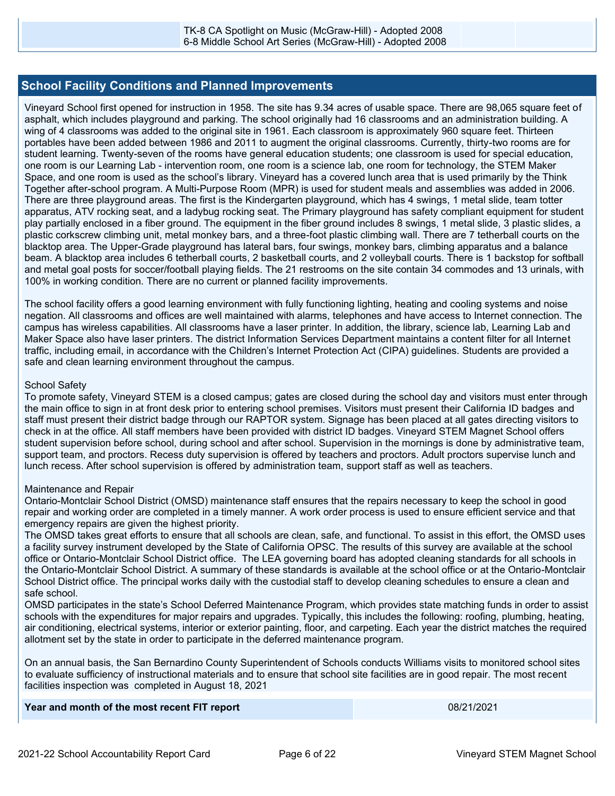### **School Facility Conditions and Planned Improvements**

Vineyard School first opened for instruction in 1958. The site has 9.34 acres of usable space. There are 98,065 square feet of asphalt, which includes playground and parking. The school originally had 16 classrooms and an administration building. A wing of 4 classrooms was added to the original site in 1961. Each classroom is approximately 960 square feet. Thirteen portables have been added between 1986 and 2011 to augment the original classrooms. Currently, thirty-two rooms are for student learning. Twenty-seven of the rooms have general education students; one classroom is used for special education, one room is our Learning Lab - intervention room, one room is a science lab, one room for technology, the STEM Maker Space, and one room is used as the school's library. Vineyard has a covered lunch area that is used primarily by the Think Together after-school program. A Multi-Purpose Room (MPR) is used for student meals and assemblies was added in 2006. There are three playground areas. The first is the Kindergarten playground, which has 4 swings, 1 metal slide, team totter apparatus, ATV rocking seat, and a ladybug rocking seat. The Primary playground has safety compliant equipment for student play partially enclosed in a fiber ground. The equipment in the fiber ground includes 8 swings, 1 metal slide, 3 plastic slides, a plastic corkscrew climbing unit, metal monkey bars, and a three-foot plastic climbing wall. There are 7 tetherball courts on the blacktop area. The Upper-Grade playground has lateral bars, four swings, monkey bars, climbing apparatus and a balance beam. A blacktop area includes 6 tetherball courts, 2 basketball courts, and 2 volleyball courts. There is 1 backstop for softball and metal goal posts for soccer/football playing fields. The 21 restrooms on the site contain 34 commodes and 13 urinals, with 100% in working condition. There are no current or planned facility improvements.

The school facility offers a good learning environment with fully functioning lighting, heating and cooling systems and noise negation. All classrooms and offices are well maintained with alarms, telephones and have access to Internet connection. The campus has wireless capabilities. All classrooms have a laser printer. In addition, the library, science lab, Learning Lab and Maker Space also have laser printers. The district Information Services Department maintains a content filter for all Internet traffic, including email, in accordance with the Children's Internet Protection Act (CIPA) guidelines. Students are provided a safe and clean learning environment throughout the campus.

### School Safety

To promote safety, Vineyard STEM is a closed campus; gates are closed during the school day and visitors must enter through the main office to sign in at front desk prior to entering school premises. Visitors must present their California ID badges and staff must present their district badge through our RAPTOR system. Signage has been placed at all gates directing visitors to check in at the office. All staff members have been provided with district ID badges. Vineyard STEM Magnet School offers student supervision before school, during school and after school. Supervision in the mornings is done by administrative team, support team, and proctors. Recess duty supervision is offered by teachers and proctors. Adult proctors supervise lunch and lunch recess. After school supervision is offered by administration team, support staff as well as teachers.

### Maintenance and Repair

Ontario-Montclair School District (OMSD) maintenance staff ensures that the repairs necessary to keep the school in good repair and working order are completed in a timely manner. A work order process is used to ensure efficient service and that emergency repairs are given the highest priority.

The OMSD takes great efforts to ensure that all schools are clean, safe, and functional. To assist in this effort, the OMSD uses a facility survey instrument developed by the State of California OPSC. The results of this survey are available at the school office or Ontario-Montclair School District office. The LEA governing board has adopted cleaning standards for all schools in the Ontario-Montclair School District. A summary of these standards is available at the school office or at the Ontario-Montclair School District office. The principal works daily with the custodial staff to develop cleaning schedules to ensure a clean and safe school.

OMSD participates in the state's School Deferred Maintenance Program, which provides state matching funds in order to assist schools with the expenditures for major repairs and upgrades. Typically, this includes the following: roofing, plumbing, heating, air conditioning, electrical systems, interior or exterior painting, floor, and carpeting. Each year the district matches the required allotment set by the state in order to participate in the deferred maintenance program.

On an annual basis, the San Bernardino County Superintendent of Schools conducts Williams visits to monitored school sites to evaluate sufficiency of instructional materials and to ensure that school site facilities are in good repair. The most recent facilities inspection was completed in August 18, 2021

| Year and month of the most recent FIT report | 08/21/2021 |
|----------------------------------------------|------------|
|----------------------------------------------|------------|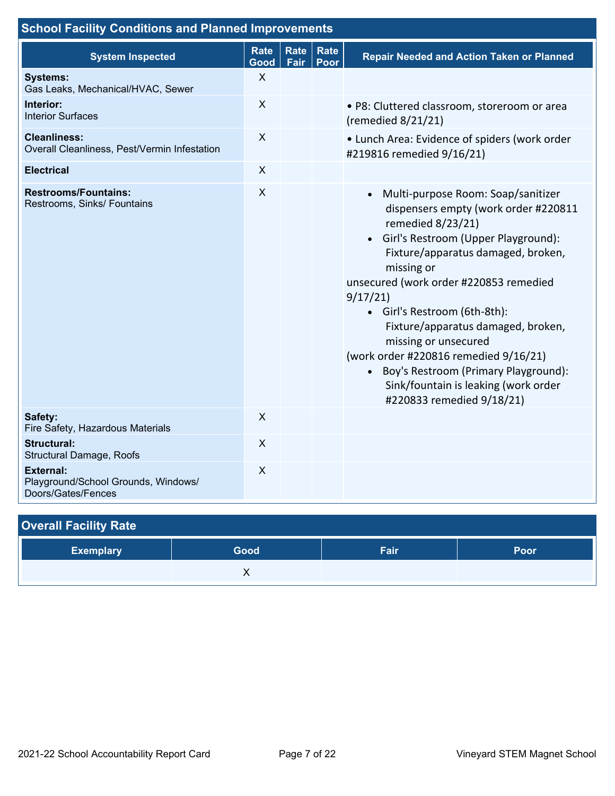| <b>School Facility Conditions and Planned Improvements</b>                    |                           |              |              |                                                                                                                                                                                                                                                                                                                                                                                                                                                                                                                      |
|-------------------------------------------------------------------------------|---------------------------|--------------|--------------|----------------------------------------------------------------------------------------------------------------------------------------------------------------------------------------------------------------------------------------------------------------------------------------------------------------------------------------------------------------------------------------------------------------------------------------------------------------------------------------------------------------------|
| <b>System Inspected</b>                                                       | <b>Rate</b><br>Good       | Rate<br>Fair | Rate<br>Poor | <b>Repair Needed and Action Taken or Planned</b>                                                                                                                                                                                                                                                                                                                                                                                                                                                                     |
| <b>Systems:</b><br>Gas Leaks, Mechanical/HVAC, Sewer                          | $\boldsymbol{\mathsf{X}}$ |              |              |                                                                                                                                                                                                                                                                                                                                                                                                                                                                                                                      |
| Interior:<br><b>Interior Surfaces</b>                                         | $\sf X$                   |              |              | · P8: Cluttered classroom, storeroom or area<br>(remedied $8/21/21$ )                                                                                                                                                                                                                                                                                                                                                                                                                                                |
| <b>Cleanliness:</b><br>Overall Cleanliness, Pest/Vermin Infestation           | $\boldsymbol{\mathsf{X}}$ |              |              | • Lunch Area: Evidence of spiders (work order<br>#219816 remedied 9/16/21)                                                                                                                                                                                                                                                                                                                                                                                                                                           |
| <b>Electrical</b>                                                             | $\mathsf{X}$              |              |              |                                                                                                                                                                                                                                                                                                                                                                                                                                                                                                                      |
| <b>Restrooms/Fountains:</b><br>Restrooms, Sinks/ Fountains                    | $\boldsymbol{\mathsf{X}}$ |              |              | Multi-purpose Room: Soap/sanitizer<br>$\bullet$<br>dispensers empty (work order #220811<br>remedied 8/23/21)<br>• Girl's Restroom (Upper Playground):<br>Fixture/apparatus damaged, broken,<br>missing or<br>unsecured (work order #220853 remedied<br>9/17/21<br>• Girl's Restroom (6th-8th):<br>Fixture/apparatus damaged, broken,<br>missing or unsecured<br>(work order #220816 remedied 9/16/21)<br>• Boy's Restroom (Primary Playground):<br>Sink/fountain is leaking (work order<br>#220833 remedied 9/18/21) |
| Safety:<br>Fire Safety, Hazardous Materials                                   | $\sf X$                   |              |              |                                                                                                                                                                                                                                                                                                                                                                                                                                                                                                                      |
| <b>Structural:</b><br>Structural Damage, Roofs                                | X                         |              |              |                                                                                                                                                                                                                                                                                                                                                                                                                                                                                                                      |
| <b>External:</b><br>Playground/School Grounds, Windows/<br>Doors/Gates/Fences | $\pmb{\times}$            |              |              |                                                                                                                                                                                                                                                                                                                                                                                                                                                                                                                      |

| <b>Overall Facility Rate</b> |      |      |      |  |  |  |  |
|------------------------------|------|------|------|--|--|--|--|
| <b>Exemplary</b>             | Good | Fair | Poor |  |  |  |  |
|                              |      |      |      |  |  |  |  |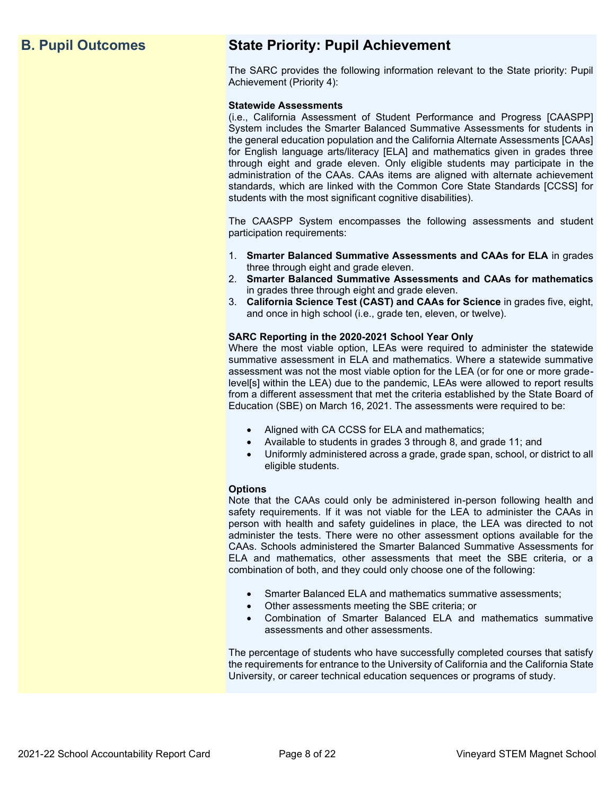## **B. Pupil Outcomes State Priority: Pupil Achievement**

The SARC provides the following information relevant to the State priority: Pupil Achievement (Priority 4):

### **Statewide Assessments**

(i.e., California Assessment of Student Performance and Progress [CAASPP] System includes the Smarter Balanced Summative Assessments for students in the general education population and the California Alternate Assessments [CAAs] for English language arts/literacy [ELA] and mathematics given in grades three through eight and grade eleven. Only eligible students may participate in the administration of the CAAs. CAAs items are aligned with alternate achievement standards, which are linked with the Common Core State Standards [CCSS] for students with the most significant cognitive disabilities).

The CAASPP System encompasses the following assessments and student participation requirements:

- 1. **Smarter Balanced Summative Assessments and CAAs for ELA** in grades three through eight and grade eleven.
- 2. **Smarter Balanced Summative Assessments and CAAs for mathematics** in grades three through eight and grade eleven.
- 3. **California Science Test (CAST) and CAAs for Science** in grades five, eight, and once in high school (i.e., grade ten, eleven, or twelve).

### **SARC Reporting in the 2020-2021 School Year Only**

Where the most viable option, LEAs were required to administer the statewide summative assessment in ELA and mathematics. Where a statewide summative assessment was not the most viable option for the LEA (or for one or more gradelevel[s] within the LEA) due to the pandemic, LEAs were allowed to report results from a different assessment that met the criteria established by the State Board of Education (SBE) on March 16, 2021. The assessments were required to be:

- Aligned with CA CCSS for ELA and mathematics;
- Available to students in grades 3 through 8, and grade 11; and
- Uniformly administered across a grade, grade span, school, or district to all eligible students.

### **Options**

Note that the CAAs could only be administered in-person following health and safety requirements. If it was not viable for the LEA to administer the CAAs in person with health and safety guidelines in place, the LEA was directed to not administer the tests. There were no other assessment options available for the CAAs. Schools administered the Smarter Balanced Summative Assessments for ELA and mathematics, other assessments that meet the SBE criteria, or a combination of both, and they could only choose one of the following:

- Smarter Balanced ELA and mathematics summative assessments;
- Other assessments meeting the SBE criteria; or
- Combination of Smarter Balanced ELA and mathematics summative assessments and other assessments.

The percentage of students who have successfully completed courses that satisfy the requirements for entrance to the University of California and the California State University, or career technical education sequences or programs of study.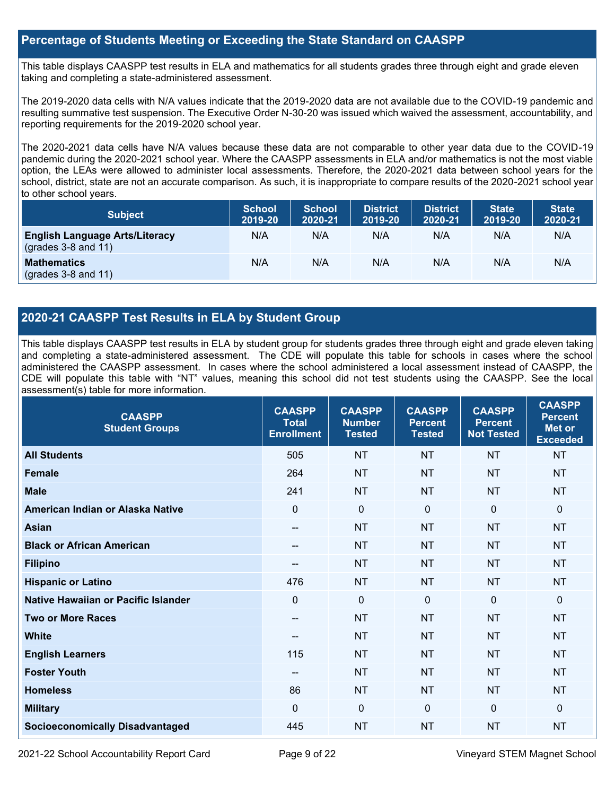### **Percentage of Students Meeting or Exceeding the State Standard on CAASPP**

This table displays CAASPP test results in ELA and mathematics for all students grades three through eight and grade eleven taking and completing a state-administered assessment.

The 2019-2020 data cells with N/A values indicate that the 2019-2020 data are not available due to the COVID-19 pandemic and resulting summative test suspension. The Executive Order N-30-20 was issued which waived the assessment, accountability, and reporting requirements for the 2019-2020 school year.

The 2020-2021 data cells have N/A values because these data are not comparable to other year data due to the COVID-19 pandemic during the 2020-2021 school year. Where the CAASPP assessments in ELA and/or mathematics is not the most viable option, the LEAs were allowed to administer local assessments. Therefore, the 2020-2021 data between school years for the school, district, state are not an accurate comparison. As such, it is inappropriate to compare results of the 2020-2021 school year to other school years.

| <b>Subject</b>                                                       | <b>School</b><br>2019-20 | <b>School</b><br>2020-21 | <b>District</b><br>2019-20 | <b>District</b><br>2020-21 | <b>State</b><br>2019-20 | <b>State</b><br>2020-21 |
|----------------------------------------------------------------------|--------------------------|--------------------------|----------------------------|----------------------------|-------------------------|-------------------------|
| <b>English Language Arts/Literacy</b><br>$\left($ grades 3-8 and 11) | N/A                      | N/A                      | N/A                        | N/A                        | N/A                     | N/A                     |
| <b>Mathematics</b><br>$(grades 3-8 and 11)$                          | N/A                      | N/A                      | N/A                        | N/A                        | N/A                     | N/A                     |

### **2020-21 CAASPP Test Results in ELA by Student Group**

This table displays CAASPP test results in ELA by student group for students grades three through eight and grade eleven taking and completing a state-administered assessment. The CDE will populate this table for schools in cases where the school administered the CAASPP assessment. In cases where the school administered a local assessment instead of CAASPP, the CDE will populate this table with "NT" values, meaning this school did not test students using the CAASPP. See the local assessment(s) table for more information.

| <b>CAASPP</b><br><b>Student Groups</b> | <b>CAASPP</b><br><b>Total</b><br><b>Enrollment</b> | <b>CAASPP</b><br><b>Number</b><br><b>Tested</b> | <b>CAASPP</b><br><b>Percent</b><br><b>Tested</b> | <b>CAASPP</b><br><b>Percent</b><br><b>Not Tested</b> | <b>CAASPP</b><br><b>Percent</b><br>Met or<br><b>Exceeded</b> |
|----------------------------------------|----------------------------------------------------|-------------------------------------------------|--------------------------------------------------|------------------------------------------------------|--------------------------------------------------------------|
| <b>All Students</b>                    | 505                                                | <b>NT</b>                                       | <b>NT</b>                                        | <b>NT</b>                                            | <b>NT</b>                                                    |
| <b>Female</b>                          | 264                                                | <b>NT</b>                                       | <b>NT</b>                                        | <b>NT</b>                                            | <b>NT</b>                                                    |
| <b>Male</b>                            | 241                                                | <b>NT</b>                                       | <b>NT</b>                                        | <b>NT</b>                                            | <b>NT</b>                                                    |
| American Indian or Alaska Native       | $\mathbf{0}$                                       | $\mathbf 0$                                     | $\mathbf{0}$                                     | $\Omega$                                             | $\Omega$                                                     |
| <b>Asian</b>                           | --                                                 | <b>NT</b>                                       | <b>NT</b>                                        | <b>NT</b>                                            | <b>NT</b>                                                    |
| <b>Black or African American</b>       | --                                                 | <b>NT</b>                                       | <b>NT</b>                                        | <b>NT</b>                                            | <b>NT</b>                                                    |
| <b>Filipino</b>                        | --                                                 | <b>NT</b>                                       | <b>NT</b>                                        | <b>NT</b>                                            | <b>NT</b>                                                    |
| <b>Hispanic or Latino</b>              | 476                                                | <b>NT</b>                                       | <b>NT</b>                                        | <b>NT</b>                                            | <b>NT</b>                                                    |
| Native Hawaiian or Pacific Islander    | $\mathbf{0}$                                       | $\mathbf 0$                                     | $\mathbf 0$                                      | $\mathbf 0$                                          | 0                                                            |
| <b>Two or More Races</b>               | --                                                 | <b>NT</b>                                       | <b>NT</b>                                        | <b>NT</b>                                            | <b>NT</b>                                                    |
| <b>White</b>                           | --                                                 | <b>NT</b>                                       | <b>NT</b>                                        | <b>NT</b>                                            | <b>NT</b>                                                    |
| <b>English Learners</b>                | 115                                                | <b>NT</b>                                       | <b>NT</b>                                        | <b>NT</b>                                            | <b>NT</b>                                                    |
| <b>Foster Youth</b>                    | --                                                 | <b>NT</b>                                       | <b>NT</b>                                        | <b>NT</b>                                            | NT                                                           |
| <b>Homeless</b>                        | 86                                                 | <b>NT</b>                                       | <b>NT</b>                                        | <b>NT</b>                                            | <b>NT</b>                                                    |
| <b>Military</b>                        | $\mathbf{0}$                                       | $\mathbf 0$                                     | $\mathbf 0$                                      | $\Omega$                                             | $\mathbf{0}$                                                 |
| <b>Socioeconomically Disadvantaged</b> | 445                                                | <b>NT</b>                                       | <b>NT</b>                                        | <b>NT</b>                                            | <b>NT</b>                                                    |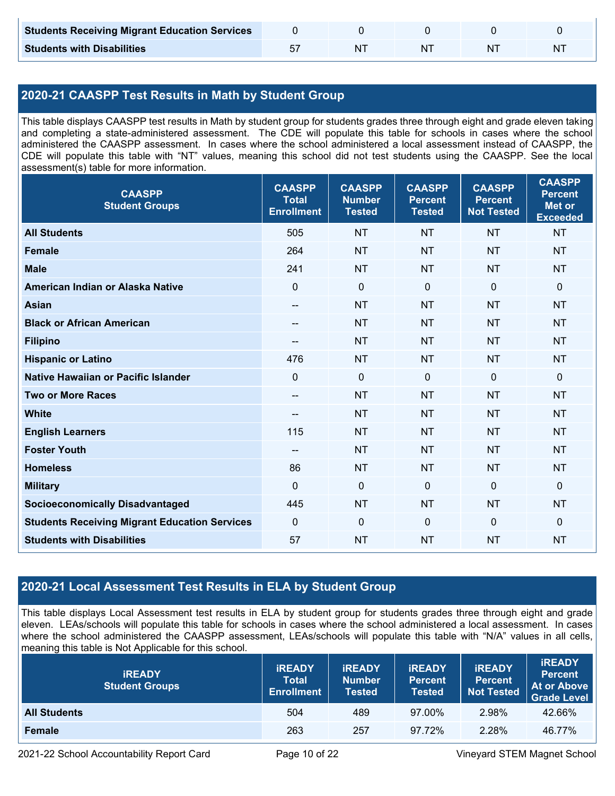| <b>Students Receiving Migrant Education Services</b> |    |  |   |
|------------------------------------------------------|----|--|---|
| <b>Students with Disabilities</b>                    | NΤ |  | N |

### **2020-21 CAASPP Test Results in Math by Student Group**

This table displays CAASPP test results in Math by student group for students grades three through eight and grade eleven taking and completing a state-administered assessment. The CDE will populate this table for schools in cases where the school administered the CAASPP assessment. In cases where the school administered a local assessment instead of CAASPP, the CDE will populate this table with "NT" values, meaning this school did not test students using the CAASPP. See the local assessment(s) table for more information.

| <b>CAASPP</b><br><b>Student Groups</b>               | <b>CAASPP</b><br><b>Total</b><br><b>Enrollment</b> | <b>CAASPP</b><br><b>Number</b><br><b>Tested</b> | <b>CAASPP</b><br><b>Percent</b><br><b>Tested</b> | <b>CAASPP</b><br><b>Percent</b><br><b>Not Tested</b> | <b>CAASPP</b><br><b>Percent</b><br><b>Met or</b><br><b>Exceeded</b> |
|------------------------------------------------------|----------------------------------------------------|-------------------------------------------------|--------------------------------------------------|------------------------------------------------------|---------------------------------------------------------------------|
| <b>All Students</b>                                  | 505                                                | <b>NT</b>                                       | <b>NT</b>                                        | <b>NT</b>                                            | <b>NT</b>                                                           |
| <b>Female</b>                                        | 264                                                | <b>NT</b>                                       | <b>NT</b>                                        | <b>NT</b>                                            | <b>NT</b>                                                           |
| <b>Male</b>                                          | 241                                                | <b>NT</b>                                       | <b>NT</b>                                        | <b>NT</b>                                            | <b>NT</b>                                                           |
| American Indian or Alaska Native                     | $\mathbf 0$                                        | $\mathbf 0$                                     | $\mathbf 0$                                      | $\mathbf 0$                                          | $\mathbf 0$                                                         |
| <b>Asian</b>                                         | $\hspace{0.05cm}$ – $\hspace{0.05cm}$              | <b>NT</b>                                       | <b>NT</b>                                        | <b>NT</b>                                            | <b>NT</b>                                                           |
| <b>Black or African American</b>                     | $\overline{\phantom{m}}$                           | <b>NT</b>                                       | <b>NT</b>                                        | <b>NT</b>                                            | <b>NT</b>                                                           |
| <b>Filipino</b>                                      |                                                    | <b>NT</b>                                       | <b>NT</b>                                        | <b>NT</b>                                            | <b>NT</b>                                                           |
| <b>Hispanic or Latino</b>                            | 476                                                | <b>NT</b>                                       | <b>NT</b>                                        | <b>NT</b>                                            | <b>NT</b>                                                           |
| <b>Native Hawaiian or Pacific Islander</b>           | $\mathbf{0}$                                       | $\mathbf 0$                                     | $\mathbf{0}$                                     | $\mathbf 0$                                          | $\mathbf 0$                                                         |
| <b>Two or More Races</b>                             | $\overline{\phantom{a}}$                           | <b>NT</b>                                       | <b>NT</b>                                        | <b>NT</b>                                            | <b>NT</b>                                                           |
| <b>White</b>                                         | $\hspace{0.05cm}$ – $\hspace{0.05cm}$              | <b>NT</b>                                       | <b>NT</b>                                        | <b>NT</b>                                            | <b>NT</b>                                                           |
| <b>English Learners</b>                              | 115                                                | <b>NT</b>                                       | <b>NT</b>                                        | <b>NT</b>                                            | <b>NT</b>                                                           |
| <b>Foster Youth</b>                                  | $\overline{\phantom{a}}$                           | <b>NT</b>                                       | <b>NT</b>                                        | <b>NT</b>                                            | <b>NT</b>                                                           |
| <b>Homeless</b>                                      | 86                                                 | <b>NT</b>                                       | <b>NT</b>                                        | <b>NT</b>                                            | <b>NT</b>                                                           |
| <b>Military</b>                                      | $\mathbf{0}$                                       | $\mathbf 0$                                     | $\mathbf 0$                                      | $\mathbf 0$                                          | $\mathbf 0$                                                         |
| <b>Socioeconomically Disadvantaged</b>               | 445                                                | <b>NT</b>                                       | <b>NT</b>                                        | <b>NT</b>                                            | <b>NT</b>                                                           |
| <b>Students Receiving Migrant Education Services</b> | $\mathbf 0$                                        | $\mathbf 0$                                     | $\mathbf 0$                                      | $\mathbf 0$                                          | $\mathbf 0$                                                         |
| <b>Students with Disabilities</b>                    | 57                                                 | <b>NT</b>                                       | <b>NT</b>                                        | <b>NT</b>                                            | <b>NT</b>                                                           |

### **2020-21 Local Assessment Test Results in ELA by Student Group**

This table displays Local Assessment test results in ELA by student group for students grades three through eight and grade eleven. LEAs/schools will populate this table for schools in cases where the school administered a local assessment. In cases where the school administered the CAASPP assessment, LEAs/schools will populate this table with "N/A" values in all cells, meaning this table is Not Applicable for this school.

| <b>IREADY</b><br><b>Student Groups</b> | <b>IREADY</b><br><b>Total</b><br><b>Enrollment</b> | <b>IREADY</b><br><b>Number</b><br>Tested | <b><i>IREADY</i></b><br><b>Percent</b><br>Tested | <b>IREADY</b><br><b>Percent</b><br><b>Not Tested</b> | <b>IREADY</b><br><b>Percent</b><br><b>At or Above</b><br><b>Grade Level</b> |
|----------------------------------------|----------------------------------------------------|------------------------------------------|--------------------------------------------------|------------------------------------------------------|-----------------------------------------------------------------------------|
| <b>All Students</b>                    | 504                                                | 489                                      | 97.00%                                           | 2.98%                                                | 42.66%                                                                      |
| Female                                 | 263                                                | 257                                      | 97.72%                                           | 2.28%                                                | 46.77%                                                                      |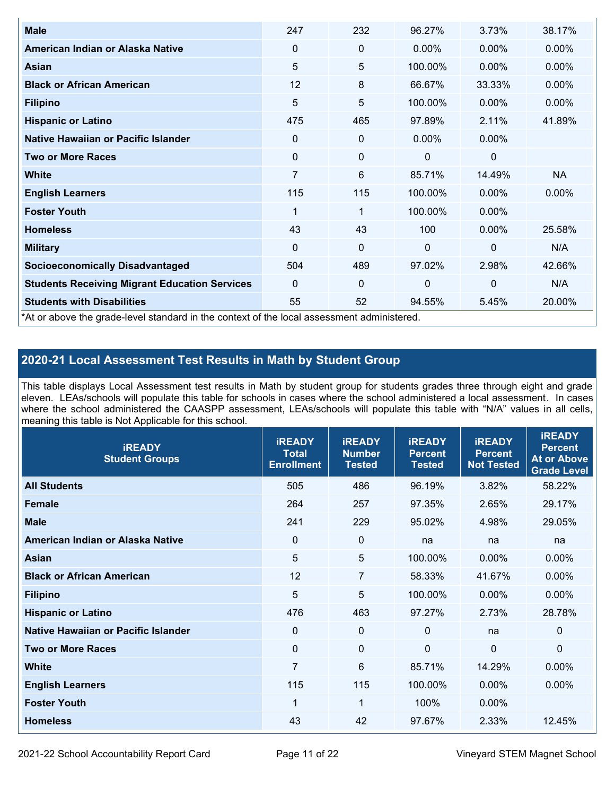| <b>Male</b>                                                                                | 247            | 232         | 96.27%      | 3.73%       | 38.17%    |
|--------------------------------------------------------------------------------------------|----------------|-------------|-------------|-------------|-----------|
| American Indian or Alaska Native                                                           | $\Omega$       | 0           | $0.00\%$    | $0.00\%$    | $0.00\%$  |
| <b>Asian</b>                                                                               | 5              | 5           | 100.00%     | $0.00\%$    | 0.00%     |
| <b>Black or African American</b>                                                           | 12             | 8           | 66.67%      | 33.33%      | $0.00\%$  |
| <b>Filipino</b>                                                                            | 5              | 5           | 100.00%     | $0.00\%$    | 0.00%     |
| <b>Hispanic or Latino</b>                                                                  | 475            | 465         | 97.89%      | 2.11%       | 41.89%    |
| Native Hawaiian or Pacific Islander                                                        | 0              | 0           | $0.00\%$    | $0.00\%$    |           |
| <b>Two or More Races</b>                                                                   | $\mathbf 0$    | $\mathbf 0$ | 0           | 0           |           |
| White                                                                                      | $\overline{7}$ | 6           | 85.71%      | 14.49%      | <b>NA</b> |
| <b>English Learners</b>                                                                    | 115            | 115         | 100.00%     | $0.00\%$    | $0.00\%$  |
| <b>Foster Youth</b>                                                                        | 1              | 1           | 100.00%     | $0.00\%$    |           |
| <b>Homeless</b>                                                                            | 43             | 43          | 100         | $0.00\%$    | 25.58%    |
| <b>Military</b>                                                                            | $\Omega$       | $\mathbf 0$ | $\mathbf 0$ | $\mathbf 0$ | N/A       |
| <b>Socioeconomically Disadvantaged</b>                                                     | 504            | 489         | 97.02%      | 2.98%       | 42.66%    |
| <b>Students Receiving Migrant Education Services</b>                                       | $\Omega$       | 0           | $\mathbf 0$ | $\mathbf 0$ | N/A       |
| <b>Students with Disabilities</b>                                                          | 55             | 52          | 94.55%      | 5.45%       | 20.00%    |
| *At or above the grade-level standard in the context of the local assessment administered. |                |             |             |             |           |

### **2020-21 Local Assessment Test Results in Math by Student Group**

This table displays Local Assessment test results in Math by student group for students grades three through eight and grade eleven. LEAs/schools will populate this table for schools in cases where the school administered a local assessment. In cases where the school administered the CAASPP assessment, LEAs/schools will populate this table with "N/A" values in all cells, meaning this table is Not Applicable for this school.

| <b>iREADY</b><br><b>Student Groups</b> | <b>IREADY</b><br><b>Total</b><br><b>Enrollment</b> | <b>iREADY</b><br><b>Number</b><br><b>Tested</b> | <b>iREADY</b><br><b>Percent</b><br><b>Tested</b> | <b>IREADY</b><br><b>Percent</b><br><b>Not Tested</b> | <b>IREADY</b><br><b>Percent</b><br><b>At or Above</b><br><b>Grade Level</b> |
|----------------------------------------|----------------------------------------------------|-------------------------------------------------|--------------------------------------------------|------------------------------------------------------|-----------------------------------------------------------------------------|
| <b>All Students</b>                    | 505                                                | 486                                             | 96.19%                                           | 3.82%                                                | 58.22%                                                                      |
| <b>Female</b>                          | 264                                                | 257                                             | 97.35%                                           | 2.65%                                                | 29.17%                                                                      |
| <b>Male</b>                            | 241                                                | 229                                             | 95.02%                                           | 4.98%                                                | 29.05%                                                                      |
| American Indian or Alaska Native       | 0                                                  | $\mathbf 0$                                     | na                                               | na                                                   | na                                                                          |
| Asian                                  | 5                                                  | 5                                               | 100.00%                                          | 0.00%                                                | 0.00%                                                                       |
| <b>Black or African American</b>       | 12                                                 | $\overline{7}$                                  | 58.33%                                           | 41.67%                                               | 0.00%                                                                       |
| <b>Filipino</b>                        | 5                                                  | 5                                               | 100.00%                                          | 0.00%                                                | 0.00%                                                                       |
| <b>Hispanic or Latino</b>              | 476                                                | 463                                             | 97.27%                                           | 2.73%                                                | 28.78%                                                                      |
| Native Hawaiian or Pacific Islander    | 0                                                  | $\mathbf 0$                                     | $\mathbf{0}$                                     | na                                                   | 0                                                                           |
| <b>Two or More Races</b>               | $\mathbf 0$                                        | $\mathbf 0$                                     | $\mathbf{0}$                                     | $\overline{0}$                                       | $\Omega$                                                                    |
| <b>White</b>                           | $\overline{7}$                                     | $6\phantom{1}$                                  | 85.71%                                           | 14.29%                                               | 0.00%                                                                       |
| <b>English Learners</b>                | 115                                                | 115                                             | 100.00%                                          | 0.00%                                                | 0.00%                                                                       |
| <b>Foster Youth</b>                    | 1                                                  | 1                                               | 100%                                             | 0.00%                                                |                                                                             |
| <b>Homeless</b>                        | 43                                                 | 42                                              | 97.67%                                           | 2.33%                                                | 12.45%                                                                      |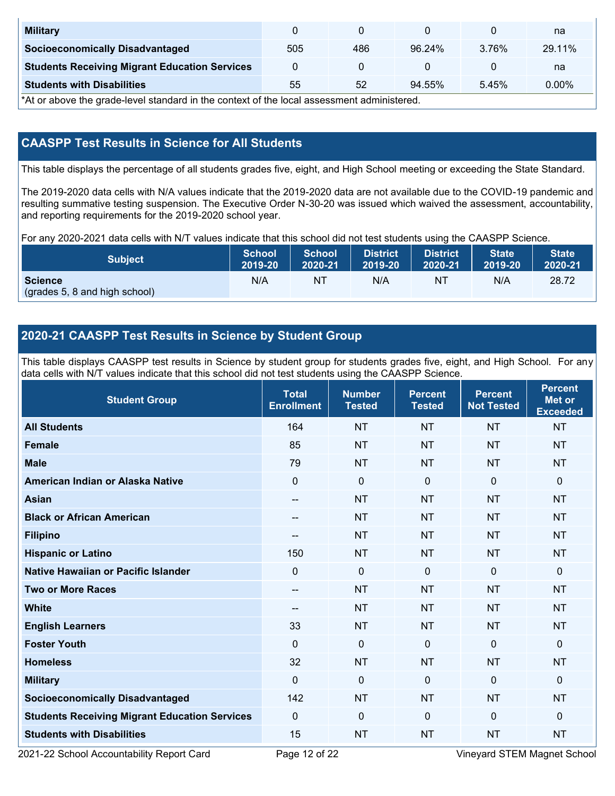| <b>Military</b>                                      |     |     |        |       | na     |
|------------------------------------------------------|-----|-----|--------|-------|--------|
| <b>Socioeconomically Disadvantaged</b>               | 505 | 486 | 96.24% | 3.76% | 29.11% |
| <b>Students Receiving Migrant Education Services</b> |     |     |        |       | na     |
| <b>Students with Disabilities</b>                    | 55  | 52  | 94.55% | 5.45% | 0.00%  |

\*At or above the grade-level standard in the context of the local assessment administered.

### **CAASPP Test Results in Science for All Students**

This table displays the percentage of all students grades five, eight, and High School meeting or exceeding the State Standard.

The 2019-2020 data cells with N/A values indicate that the 2019-2020 data are not available due to the COVID-19 pandemic and resulting summative testing suspension. The Executive Order N-30-20 was issued which waived the assessment, accountability, and reporting requirements for the 2019-2020 school year.

For any 2020-2021 data cells with N/T values indicate that this school did not test students using the CAASPP Science.

| <b>Subject</b>                                  | <b>School</b> | <b>School</b> | <b>District</b> | District | <b>State</b> | <b>State</b> |
|-------------------------------------------------|---------------|---------------|-----------------|----------|--------------|--------------|
|                                                 | 2019-20       | 2020-21       | 2019-20         | 2020-21  | 2019-20      | 2020-21      |
| <b>Science</b><br>(grades 5, 8 and high school) | N/A           | NT            | N/A             | 'NT      | N/A          | 28.72        |

### **2020-21 CAASPP Test Results in Science by Student Group**

This table displays CAASPP test results in Science by student group for students grades five, eight, and High School. For any data cells with N/T values indicate that this school did not test students using the CAASPP Science.

| <b>Student Group</b>                                 | <b>Total</b><br><b>Enrollment</b> | <b>Number</b><br><b>Tested</b> | <b>Percent</b><br><b>Tested</b> | <b>Percent</b><br><b>Not Tested</b> | <b>Percent</b><br>Met or<br><b>Exceeded</b> |
|------------------------------------------------------|-----------------------------------|--------------------------------|---------------------------------|-------------------------------------|---------------------------------------------|
| <b>All Students</b>                                  | 164                               | <b>NT</b>                      | <b>NT</b>                       | <b>NT</b>                           | <b>NT</b>                                   |
| <b>Female</b>                                        | 85                                | <b>NT</b>                      | <b>NT</b>                       | <b>NT</b>                           | <b>NT</b>                                   |
| <b>Male</b>                                          | 79                                | <b>NT</b>                      | <b>NT</b>                       | <b>NT</b>                           | <b>NT</b>                                   |
| American Indian or Alaska Native                     | $\mathbf 0$                       | $\mathbf 0$                    | $\mathbf 0$                     | $\mathbf 0$                         | 0                                           |
| <b>Asian</b>                                         | $\overline{\phantom{a}}$          | <b>NT</b>                      | <b>NT</b>                       | <b>NT</b>                           | <b>NT</b>                                   |
| <b>Black or African American</b>                     | $-$                               | <b>NT</b>                      | <b>NT</b>                       | <b>NT</b>                           | <b>NT</b>                                   |
| <b>Filipino</b>                                      | --                                | <b>NT</b>                      | <b>NT</b>                       | <b>NT</b>                           | <b>NT</b>                                   |
| <b>Hispanic or Latino</b>                            | 150                               | <b>NT</b>                      | <b>NT</b>                       | <b>NT</b>                           | <b>NT</b>                                   |
| <b>Native Hawaiian or Pacific Islander</b>           | $\mathbf{0}$                      | $\mathbf 0$                    | $\mathbf 0$                     | $\mathbf{0}$                        | 0                                           |
| <b>Two or More Races</b>                             | $\qquad \qquad -$                 | <b>NT</b>                      | <b>NT</b>                       | <b>NT</b>                           | <b>NT</b>                                   |
| <b>White</b>                                         | $\qquad \qquad -$                 | <b>NT</b>                      | <b>NT</b>                       | <b>NT</b>                           | <b>NT</b>                                   |
| <b>English Learners</b>                              | 33                                | <b>NT</b>                      | <b>NT</b>                       | <b>NT</b>                           | <b>NT</b>                                   |
| <b>Foster Youth</b>                                  | $\mathbf 0$                       | $\mathbf 0$                    | $\mathbf 0$                     | $\mathbf 0$                         | 0                                           |
| <b>Homeless</b>                                      | 32                                | <b>NT</b>                      | <b>NT</b>                       | <b>NT</b>                           | <b>NT</b>                                   |
| <b>Military</b>                                      | $\mathbf 0$                       | $\mathbf 0$                    | $\mathbf 0$                     | $\mathbf 0$                         | 0                                           |
| <b>Socioeconomically Disadvantaged</b>               | 142                               | <b>NT</b>                      | <b>NT</b>                       | <b>NT</b>                           | <b>NT</b>                                   |
| <b>Students Receiving Migrant Education Services</b> | $\mathbf{0}$                      | $\mathbf 0$                    | $\mathbf 0$                     | $\mathbf{0}$                        | 0                                           |
| <b>Students with Disabilities</b>                    | 15                                | <b>NT</b>                      | <b>NT</b>                       | <b>NT</b>                           | <b>NT</b>                                   |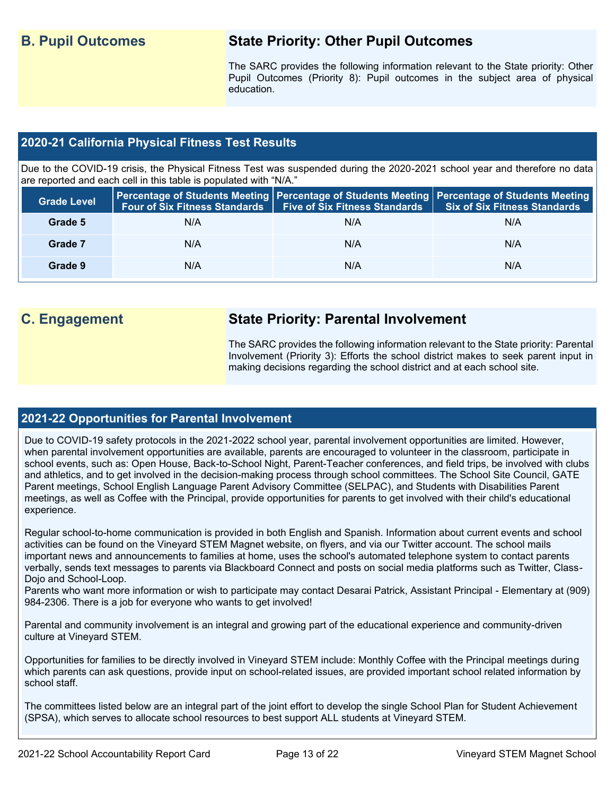### **B. Pupil Outcomes State Priority: Other Pupil Outcomes**

The SARC provides the following information relevant to the State priority: Other Pupil Outcomes (Priority 8): Pupil outcomes in the subject area of physical education.

### **2020-21 California Physical Fitness Test Results**

Due to the COVID-19 crisis, the Physical Fitness Test was suspended during the 2020-2021 school year and therefore no data are reported and each cell in this table is populated with "N/A."

| <b>Grade Level</b> |     | Four of Six Fitness Standards   Five of Six Fitness Standards | <b>Percentage of Students Meeting   Percentage of Students Meeting   Percentage of Students Meeting  </b><br>Six of Six Fitness Standards |
|--------------------|-----|---------------------------------------------------------------|-------------------------------------------------------------------------------------------------------------------------------------------|
| Grade 5            | N/A | N/A                                                           | N/A                                                                                                                                       |
| Grade 7            | N/A | N/A                                                           | N/A                                                                                                                                       |
| Grade 9            | N/A | N/A                                                           | N/A                                                                                                                                       |

### **C. Engagement State Priority: Parental Involvement**

The SARC provides the following information relevant to the State priority: Parental Involvement (Priority 3): Efforts the school district makes to seek parent input in making decisions regarding the school district and at each school site.

### **2021-22 Opportunities for Parental Involvement**

Due to COVID-19 safety protocols in the 2021-2022 school year, parental involvement opportunities are limited. However, when parental involvement opportunities are available, parents are encouraged to volunteer in the classroom, participate in school events, such as: Open House, Back-to-School Night, Parent-Teacher conferences, and field trips, be involved with clubs and athletics, and to get involved in the decision-making process through school committees. The School Site Council, GATE Parent meetings, School English Language Parent Advisory Committee (SELPAC), and Students with Disabilities Parent meetings, as well as Coffee with the Principal, provide opportunities for parents to get involved with their child's educational experience.

Regular school-to-home communication is provided in both English and Spanish. Information about current events and school activities can be found on the Vineyard STEM Magnet website, on flyers, and via our Twitter account. The school mails important news and announcements to families at home, uses the school's automated telephone system to contact parents verbally, sends text messages to parents via Blackboard Connect and posts on social media platforms such as Twitter, Class-Dojo and School-Loop.

Parents who want more information or wish to participate may contact Desarai Patrick, Assistant Principal - Elementary at (909) 984-2306. There is a job for everyone who wants to get involved!

Parental and community involvement is an integral and growing part of the educational experience and community-driven culture at Vineyard STEM.

Opportunities for families to be directly involved in Vineyard STEM include: Monthly Coffee with the Principal meetings during which parents can ask questions, provide input on school-related issues, are provided important school related information by school staff.

The committees listed below are an integral part of the joint effort to develop the single School Plan for Student Achievement (SPSA), which serves to allocate school resources to best support ALL students at Vineyard STEM.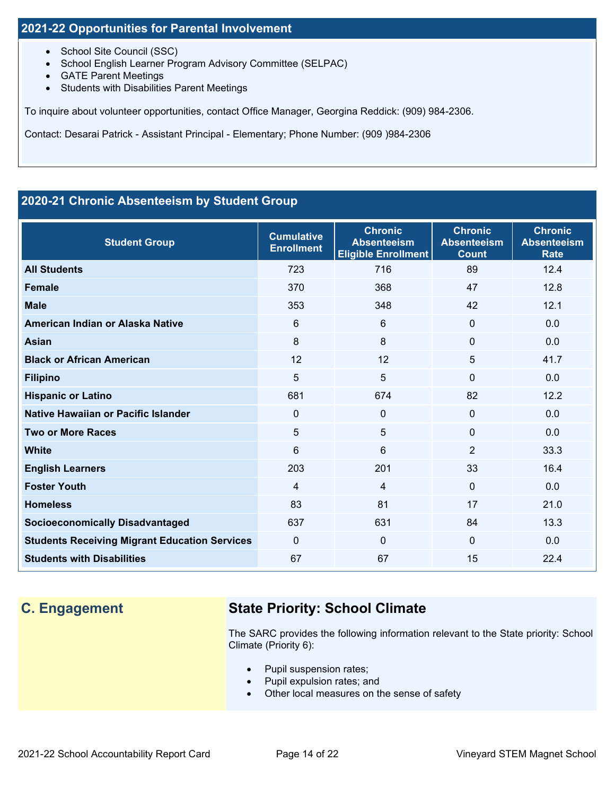### **2021-22 Opportunities for Parental Involvement**

- School Site Council (SSC)
- School English Learner Program Advisory Committee (SELPAC)
- GATE Parent Meetings
- Students with Disabilities Parent Meetings

To inquire about volunteer opportunities, contact Office Manager, Georgina Reddick: (909) 984-2306.

Contact: Desarai Patrick - Assistant Principal - Elementary; Phone Number: (909 )984-2306

### **2020-21 Chronic Absenteeism by Student Group**

| <b>Student Group</b>                                 | <b>Cumulative</b><br><b>Enrollment</b> | <b>Chronic</b><br><b>Absenteeism</b><br><b>Eligible Enrollment</b> | <b>Chronic</b><br><b>Absenteeism</b><br><b>Count</b> | <b>Chronic</b><br><b>Absenteeism</b><br><b>Rate</b> |
|------------------------------------------------------|----------------------------------------|--------------------------------------------------------------------|------------------------------------------------------|-----------------------------------------------------|
| <b>All Students</b>                                  | 723                                    | 716                                                                | 89                                                   | 12.4                                                |
| <b>Female</b>                                        | 370                                    | 368                                                                | 47                                                   | 12.8                                                |
| <b>Male</b>                                          | 353                                    | 348                                                                | 42                                                   | 12.1                                                |
| American Indian or Alaska Native                     | 6                                      | 6                                                                  | $\Omega$                                             | 0.0                                                 |
| <b>Asian</b>                                         | 8                                      | 8                                                                  | $\Omega$                                             | 0.0                                                 |
| <b>Black or African American</b>                     | 12                                     | 12                                                                 | 5                                                    | 41.7                                                |
| <b>Filipino</b>                                      | 5                                      | 5                                                                  | $\Omega$                                             | 0.0                                                 |
| <b>Hispanic or Latino</b>                            | 681                                    | 674                                                                | 82                                                   | 12.2                                                |
| Native Hawaiian or Pacific Islander                  | $\mathbf 0$                            | 0                                                                  | 0                                                    | 0.0                                                 |
| <b>Two or More Races</b>                             | 5                                      | 5                                                                  | 0                                                    | 0.0                                                 |
| <b>White</b>                                         | 6                                      | 6                                                                  | 2                                                    | 33.3                                                |
| <b>English Learners</b>                              | 203                                    | 201                                                                | 33                                                   | 16.4                                                |
| <b>Foster Youth</b>                                  | $\overline{4}$                         | $\overline{4}$                                                     | $\Omega$                                             | 0.0                                                 |
| <b>Homeless</b>                                      | 83                                     | 81                                                                 | 17                                                   | 21.0                                                |
| <b>Socioeconomically Disadvantaged</b>               | 637                                    | 631                                                                | 84                                                   | 13.3                                                |
| <b>Students Receiving Migrant Education Services</b> | $\mathbf{0}$                           | $\Omega$                                                           | $\Omega$                                             | 0.0                                                 |
| <b>Students with Disabilities</b>                    | 67                                     | 67                                                                 | 15                                                   | 22.4                                                |

## **C. Engagement State Priority: School Climate**

The SARC provides the following information relevant to the State priority: School Climate (Priority 6):

- Pupil suspension rates;
- Pupil expulsion rates; and
- Other local measures on the sense of safety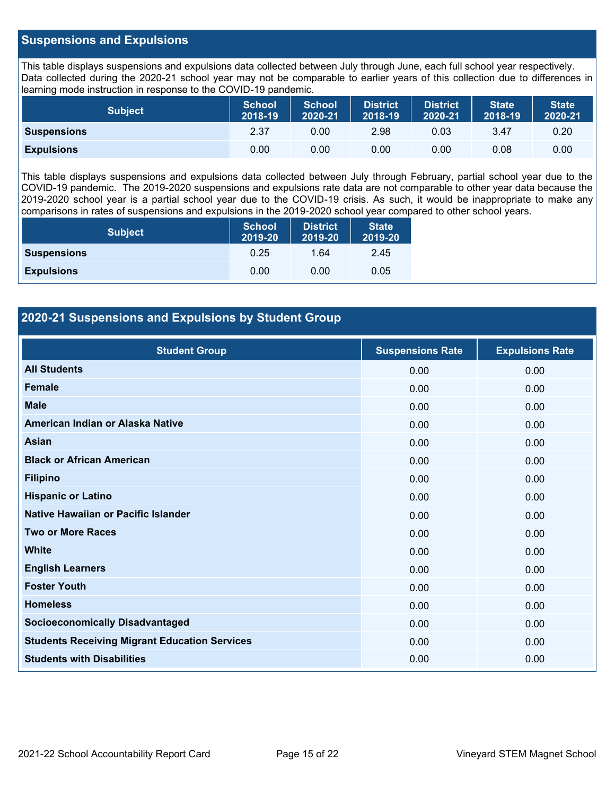### **Suspensions and Expulsions**

This table displays suspensions and expulsions data collected between July through June, each full school year respectively. Data collected during the 2020-21 school year may not be comparable to earlier years of this collection due to differences in learning mode instruction in response to the COVID-19 pandemic.

| <b>Subject</b>     | <b>School</b><br>2018-19 | <b>School</b><br>2020-21 | <b>District</b><br>2018-19 | <b>District</b><br>2020-21 | <b>State</b><br>2018-19 | <b>State</b><br>2020-21 |
|--------------------|--------------------------|--------------------------|----------------------------|----------------------------|-------------------------|-------------------------|
| <b>Suspensions</b> | 2.37                     | 0.00                     | 2.98                       | 0.03                       | 3.47                    | 0.20                    |
| <b>Expulsions</b>  | 0.00                     | 0.00                     | 0.00                       | 0.00                       | 0.08                    | 0.00                    |

This table displays suspensions and expulsions data collected between July through February, partial school year due to the COVID-19 pandemic. The 2019-2020 suspensions and expulsions rate data are not comparable to other year data because the 2019-2020 school year is a partial school year due to the COVID-19 crisis. As such, it would be inappropriate to make any comparisons in rates of suspensions and expulsions in the 2019-2020 school year compared to other school years.

| <b>Subject</b>     | <b>School</b><br>2019-20 | <b>District</b><br>2019-20 | <b>State</b><br>2019-20 |  |
|--------------------|--------------------------|----------------------------|-------------------------|--|
| <b>Suspensions</b> | 0.25                     | 1.64                       | 2.45                    |  |
| <b>Expulsions</b>  | 0.00                     | 0.00                       | 0.05                    |  |

### **2020-21 Suspensions and Expulsions by Student Group**

| <b>Student Group</b>                                 | <b>Suspensions Rate</b> | <b>Expulsions Rate</b> |
|------------------------------------------------------|-------------------------|------------------------|
| <b>All Students</b>                                  | 0.00                    | 0.00                   |
| <b>Female</b>                                        | 0.00                    | 0.00                   |
| <b>Male</b>                                          | 0.00                    | 0.00                   |
| American Indian or Alaska Native                     | 0.00                    | 0.00                   |
| <b>Asian</b>                                         | 0.00                    | 0.00                   |
| <b>Black or African American</b>                     | 0.00                    | 0.00                   |
| <b>Filipino</b>                                      | 0.00                    | 0.00                   |
| <b>Hispanic or Latino</b>                            | 0.00                    | 0.00                   |
| Native Hawaiian or Pacific Islander                  | 0.00                    | 0.00                   |
| <b>Two or More Races</b>                             | 0.00                    | 0.00                   |
| <b>White</b>                                         | 0.00                    | 0.00                   |
| <b>English Learners</b>                              | 0.00                    | 0.00                   |
| <b>Foster Youth</b>                                  | 0.00                    | 0.00                   |
| <b>Homeless</b>                                      | 0.00                    | 0.00                   |
| <b>Socioeconomically Disadvantaged</b>               | 0.00                    | 0.00                   |
| <b>Students Receiving Migrant Education Services</b> | 0.00                    | 0.00                   |
| <b>Students with Disabilities</b>                    | 0.00                    | 0.00                   |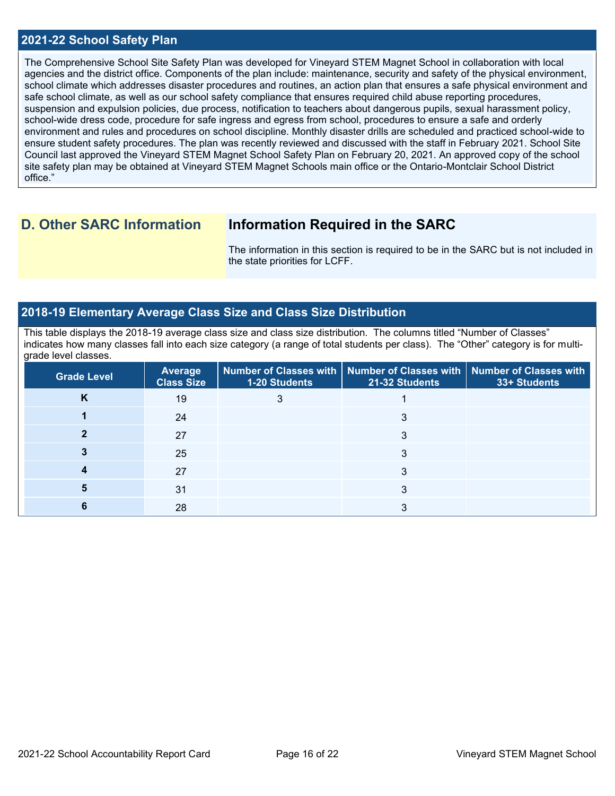### **2021-22 School Safety Plan**

The Comprehensive School Site Safety Plan was developed for Vineyard STEM Magnet School in collaboration with local agencies and the district office. Components of the plan include: maintenance, security and safety of the physical environment, school climate which addresses disaster procedures and routines, an action plan that ensures a safe physical environment and safe school climate, as well as our school safety compliance that ensures required child abuse reporting procedures, suspension and expulsion policies, due process, notification to teachers about dangerous pupils, sexual harassment policy, school-wide dress code, procedure for safe ingress and egress from school, procedures to ensure a safe and orderly environment and rules and procedures on school discipline. Monthly disaster drills are scheduled and practiced school-wide to ensure student safety procedures. The plan was recently reviewed and discussed with the staff in February 2021. School Site Council last approved the Vineyard STEM Magnet School Safety Plan on February 20, 2021. An approved copy of the school site safety plan may be obtained at Vineyard STEM Magnet Schools main office or the Ontario-Montclair School District office."

### **D. Other SARC Information Information Required in the SARC**

The information in this section is required to be in the SARC but is not included in the state priorities for LCFF.

### **2018-19 Elementary Average Class Size and Class Size Distribution**

This table displays the 2018-19 average class size and class size distribution. The columns titled "Number of Classes" indicates how many classes fall into each size category (a range of total students per class). The "Other" category is for multigrade level classes.

| <b>Grade Level</b> | <b>Average</b><br><b>Class Size</b> | 1-20 Students | Number of Classes with   Number of Classes with   Number of Classes with<br>21-32 Students | 33+ Students |
|--------------------|-------------------------------------|---------------|--------------------------------------------------------------------------------------------|--------------|
| κ                  | 19                                  |               |                                                                                            |              |
|                    | 24                                  |               |                                                                                            |              |
|                    | 27                                  |               | 3                                                                                          |              |
|                    | 25                                  |               | 3                                                                                          |              |
|                    | 27                                  |               |                                                                                            |              |
|                    | 31                                  |               | 3                                                                                          |              |
|                    | 28                                  |               |                                                                                            |              |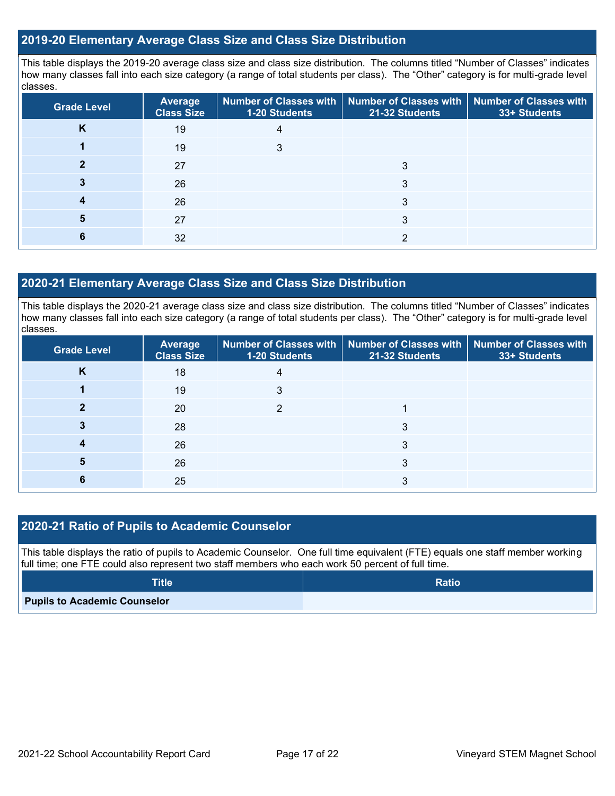### **2019-20 Elementary Average Class Size and Class Size Distribution**

This table displays the 2019-20 average class size and class size distribution. The columns titled "Number of Classes" indicates how many classes fall into each size category (a range of total students per class). The "Other" category is for multi-grade level classes.

| <b>Grade Level</b> | <b>Average</b><br><b>Class Size</b> | 1-20 Students | Number of Classes with   Number of Classes with   Number of Classes with<br>21-32 Students | 33+ Students |
|--------------------|-------------------------------------|---------------|--------------------------------------------------------------------------------------------|--------------|
| K                  | 19                                  | 4             |                                                                                            |              |
|                    | 19                                  | 3             |                                                                                            |              |
|                    | 27                                  |               |                                                                                            |              |
|                    | 26                                  |               | 3                                                                                          |              |
|                    | 26                                  |               | 3                                                                                          |              |
|                    | 27                                  |               |                                                                                            |              |
|                    | 32                                  |               | ∩                                                                                          |              |

### **2020-21 Elementary Average Class Size and Class Size Distribution**

This table displays the 2020-21 average class size and class size distribution. The columns titled "Number of Classes" indicates how many classes fall into each size category (a range of total students per class). The "Other" category is for multi-grade level classes.

| <b>Grade Level</b> | Average<br><b>Class Size</b> | 1-20 Students | Number of Classes with   Number of Classes with   Number of Classes with<br>21-32 Students | 33+ Students |
|--------------------|------------------------------|---------------|--------------------------------------------------------------------------------------------|--------------|
| <b>N</b>           | 18                           | 4             |                                                                                            |              |
|                    | 19                           | 3             |                                                                                            |              |
|                    | 20                           | ◠             |                                                                                            |              |
|                    | 28                           |               | 3                                                                                          |              |
|                    | 26                           |               | 3                                                                                          |              |
| 5                  | 26                           |               | 3                                                                                          |              |
| O                  | 25                           |               |                                                                                            |              |

### **2020-21 Ratio of Pupils to Academic Counselor**

This table displays the ratio of pupils to Academic Counselor. One full time equivalent (FTE) equals one staff member working full time; one FTE could also represent two staff members who each work 50 percent of full time.

| <b>Title</b>                        | <b>Ratio</b> |
|-------------------------------------|--------------|
| <b>Pupils to Academic Counselor</b> |              |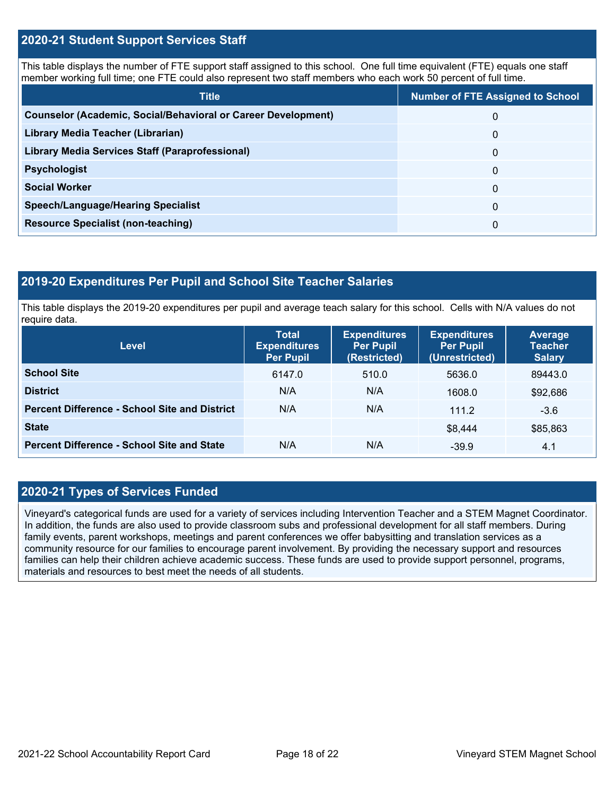### **2020-21 Student Support Services Staff**

This table displays the number of FTE support staff assigned to this school. One full time equivalent (FTE) equals one staff member working full time; one FTE could also represent two staff members who each work 50 percent of full time.

| <b>Title</b>                                                         | <b>Number of FTE Assigned to School</b> |
|----------------------------------------------------------------------|-----------------------------------------|
| <b>Counselor (Academic, Social/Behavioral or Career Development)</b> | 0                                       |
| Library Media Teacher (Librarian)                                    | 0                                       |
| Library Media Services Staff (Paraprofessional)                      | 0                                       |
| <b>Psychologist</b>                                                  | 0                                       |
| <b>Social Worker</b>                                                 | $\Omega$                                |
| <b>Speech/Language/Hearing Specialist</b>                            | 0                                       |
| <b>Resource Specialist (non-teaching)</b>                            | 0                                       |

### **2019-20 Expenditures Per Pupil and School Site Teacher Salaries**

This table displays the 2019-20 expenditures per pupil and average teach salary for this school. Cells with N/A values do not require data.

| <b>Level</b>                                         | <b>Total</b><br><b>Expenditures</b><br><b>Per Pupil</b> | <b>Expenditures</b><br><b>Per Pupil</b><br>(Restricted) | <b>Expenditures</b><br><b>Per Pupil</b><br>(Unrestricted) | Average<br><b>Teacher</b><br><b>Salary</b> |
|------------------------------------------------------|---------------------------------------------------------|---------------------------------------------------------|-----------------------------------------------------------|--------------------------------------------|
| <b>School Site</b>                                   | 6147.0                                                  | 510.0                                                   | 5636.0                                                    | 89443.0                                    |
| <b>District</b>                                      | N/A                                                     | N/A                                                     | 1608.0                                                    | \$92,686                                   |
| <b>Percent Difference - School Site and District</b> | N/A                                                     | N/A                                                     | 111.2                                                     | $-3.6$                                     |
| <b>State</b>                                         |                                                         |                                                         | \$8,444                                                   | \$85,863                                   |
| <b>Percent Difference - School Site and State</b>    | N/A                                                     | N/A                                                     | $-39.9$                                                   | 4.1                                        |

### **2020-21 Types of Services Funded**

Vineyard's categorical funds are used for a variety of services including Intervention Teacher and a STEM Magnet Coordinator. In addition, the funds are also used to provide classroom subs and professional development for all staff members. During family events, parent workshops, meetings and parent conferences we offer babysitting and translation services as a community resource for our families to encourage parent involvement. By providing the necessary support and resources families can help their children achieve academic success. These funds are used to provide support personnel, programs, materials and resources to best meet the needs of all students.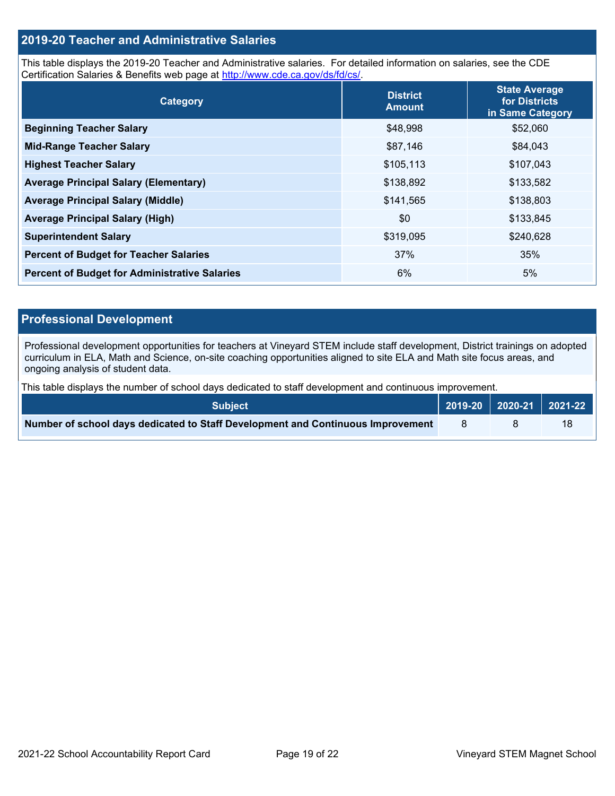### **2019-20 Teacher and Administrative Salaries**

This table displays the 2019-20 Teacher and Administrative salaries. For detailed information on salaries, see the CDE Certification Salaries & Benefits web page at [http://www.cde.ca.gov/ds/fd/cs/.](http://www.cde.ca.gov/ds/fd/cs/)

| Category                                             | <b>District</b><br><b>Amount</b> | <b>State Average</b><br>for Districts<br>in Same Category |
|------------------------------------------------------|----------------------------------|-----------------------------------------------------------|
| <b>Beginning Teacher Salary</b>                      | \$48,998                         | \$52,060                                                  |
| <b>Mid-Range Teacher Salary</b>                      | \$87,146                         | \$84,043                                                  |
| <b>Highest Teacher Salary</b>                        | \$105,113                        | \$107,043                                                 |
| <b>Average Principal Salary (Elementary)</b>         | \$138,892                        | \$133,582                                                 |
| <b>Average Principal Salary (Middle)</b>             | \$141,565                        | \$138,803                                                 |
| <b>Average Principal Salary (High)</b>               | \$0                              | \$133,845                                                 |
| <b>Superintendent Salary</b>                         | \$319,095                        | \$240,628                                                 |
| <b>Percent of Budget for Teacher Salaries</b>        | 37%                              | 35%                                                       |
| <b>Percent of Budget for Administrative Salaries</b> | 6%                               | 5%                                                        |

### **Professional Development**

Professional development opportunities for teachers at Vineyard STEM include staff development, District trainings on adopted curriculum in ELA, Math and Science, on-site coaching opportunities aligned to site ELA and Math site focus areas, and ongoing analysis of student data.

This table displays the number of school days dedicated to staff development and continuous improvement.

| <b>Subject</b>                                                                  | 2019-20 2020-21 2021-22 |    |
|---------------------------------------------------------------------------------|-------------------------|----|
| Number of school days dedicated to Staff Development and Continuous Improvement |                         | 18 |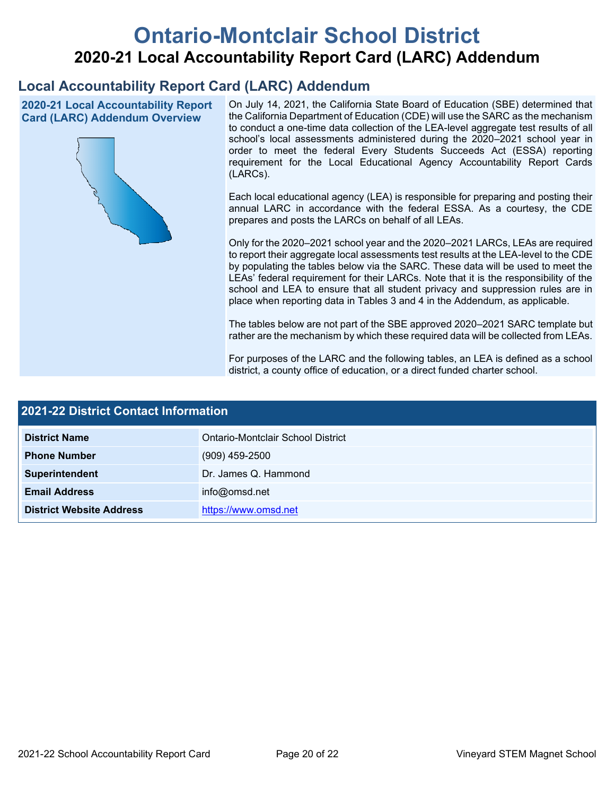# **Ontario-Montclair School District 2020-21 Local Accountability Report Card (LARC) Addendum**

## **Local Accountability Report Card (LARC) Addendum**

**2020-21 Local Accountability Report Card (LARC) Addendum Overview**



On July 14, 2021, the California State Board of Education (SBE) determined that the California Department of Education (CDE) will use the SARC as the mechanism to conduct a one-time data collection of the LEA-level aggregate test results of all school's local assessments administered during the 2020–2021 school year in order to meet the federal Every Students Succeeds Act (ESSA) reporting requirement for the Local Educational Agency Accountability Report Cards (LARCs).

Each local educational agency (LEA) is responsible for preparing and posting their annual LARC in accordance with the federal ESSA. As a courtesy, the CDE prepares and posts the LARCs on behalf of all LEAs.

Only for the 2020–2021 school year and the 2020–2021 LARCs, LEAs are required to report their aggregate local assessments test results at the LEA-level to the CDE by populating the tables below via the SARC. These data will be used to meet the LEAs' federal requirement for their LARCs. Note that it is the responsibility of the school and LEA to ensure that all student privacy and suppression rules are in place when reporting data in Tables 3 and 4 in the Addendum, as applicable.

The tables below are not part of the SBE approved 2020–2021 SARC template but rather are the mechanism by which these required data will be collected from LEAs.

For purposes of the LARC and the following tables, an LEA is defined as a school district, a county office of education, or a direct funded charter school.

| 2021-22 District Contact Information |                                   |  |  |  |
|--------------------------------------|-----------------------------------|--|--|--|
| <b>District Name</b>                 | Ontario-Montclair School District |  |  |  |
| <b>Phone Number</b>                  | $(909)$ 459-2500                  |  |  |  |
| Superintendent                       | Dr. James Q. Hammond              |  |  |  |
| <b>Email Address</b>                 | info@omsd.net                     |  |  |  |
| <b>District Website Address</b>      | https://www.omsd.net              |  |  |  |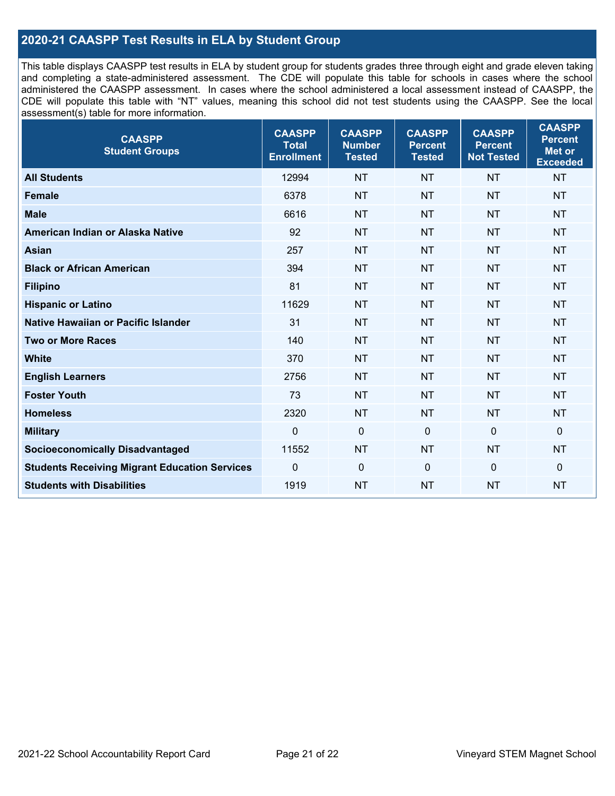### **2020-21 CAASPP Test Results in ELA by Student Group**

This table displays CAASPP test results in ELA by student group for students grades three through eight and grade eleven taking and completing a state-administered assessment. The CDE will populate this table for schools in cases where the school administered the CAASPP assessment. In cases where the school administered a local assessment instead of CAASPP, the CDE will populate this table with "NT" values, meaning this school did not test students using the CAASPP. See the local assessment(s) table for more information.

| <b>CAASPP</b><br><b>Student Groups</b>               | <b>CAASPP</b><br><b>Total</b><br><b>Enrollment</b> | <b>CAASPP</b><br><b>Number</b><br><b>Tested</b> | <b>CAASPP</b><br><b>Percent</b><br><b>Tested</b> | <b>CAASPP</b><br><b>Percent</b><br><b>Not Tested</b> | <b>CAASPP</b><br><b>Percent</b><br>Met or<br><b>Exceeded</b> |
|------------------------------------------------------|----------------------------------------------------|-------------------------------------------------|--------------------------------------------------|------------------------------------------------------|--------------------------------------------------------------|
| <b>All Students</b>                                  | 12994                                              | <b>NT</b>                                       | <b>NT</b>                                        | <b>NT</b>                                            | <b>NT</b>                                                    |
| <b>Female</b>                                        | 6378                                               | <b>NT</b>                                       | <b>NT</b>                                        | <b>NT</b>                                            | <b>NT</b>                                                    |
| <b>Male</b>                                          | 6616                                               | <b>NT</b>                                       | <b>NT</b>                                        | <b>NT</b>                                            | <b>NT</b>                                                    |
| American Indian or Alaska Native                     | 92                                                 | <b>NT</b>                                       | <b>NT</b>                                        | <b>NT</b>                                            | <b>NT</b>                                                    |
| <b>Asian</b>                                         | 257                                                | <b>NT</b>                                       | <b>NT</b>                                        | <b>NT</b>                                            | <b>NT</b>                                                    |
| <b>Black or African American</b>                     | 394                                                | <b>NT</b>                                       | <b>NT</b>                                        | <b>NT</b>                                            | NT                                                           |
| <b>Filipino</b>                                      | 81                                                 | <b>NT</b>                                       | <b>NT</b>                                        | <b>NT</b>                                            | <b>NT</b>                                                    |
| <b>Hispanic or Latino</b>                            | 11629                                              | <b>NT</b>                                       | <b>NT</b>                                        | <b>NT</b>                                            | <b>NT</b>                                                    |
| Native Hawaiian or Pacific Islander                  | 31                                                 | <b>NT</b>                                       | <b>NT</b>                                        | <b>NT</b>                                            | <b>NT</b>                                                    |
| <b>Two or More Races</b>                             | 140                                                | <b>NT</b>                                       | <b>NT</b>                                        | <b>NT</b>                                            | <b>NT</b>                                                    |
| <b>White</b>                                         | 370                                                | <b>NT</b>                                       | <b>NT</b>                                        | <b>NT</b>                                            | <b>NT</b>                                                    |
| <b>English Learners</b>                              | 2756                                               | <b>NT</b>                                       | <b>NT</b>                                        | <b>NT</b>                                            | <b>NT</b>                                                    |
| <b>Foster Youth</b>                                  | 73                                                 | <b>NT</b>                                       | <b>NT</b>                                        | <b>NT</b>                                            | NT                                                           |
| <b>Homeless</b>                                      | 2320                                               | <b>NT</b>                                       | <b>NT</b>                                        | <b>NT</b>                                            | <b>NT</b>                                                    |
| <b>Military</b>                                      | $\mathbf 0$                                        | $\mathbf 0$                                     | $\mathbf 0$                                      | $\mathbf 0$                                          | 0                                                            |
| <b>Socioeconomically Disadvantaged</b>               | 11552                                              | <b>NT</b>                                       | <b>NT</b>                                        | <b>NT</b>                                            | <b>NT</b>                                                    |
| <b>Students Receiving Migrant Education Services</b> | $\Omega$                                           | $\mathbf 0$                                     | $\mathbf 0$                                      | $\Omega$                                             | 0                                                            |
| <b>Students with Disabilities</b>                    | 1919                                               | <b>NT</b>                                       | <b>NT</b>                                        | <b>NT</b>                                            | <b>NT</b>                                                    |